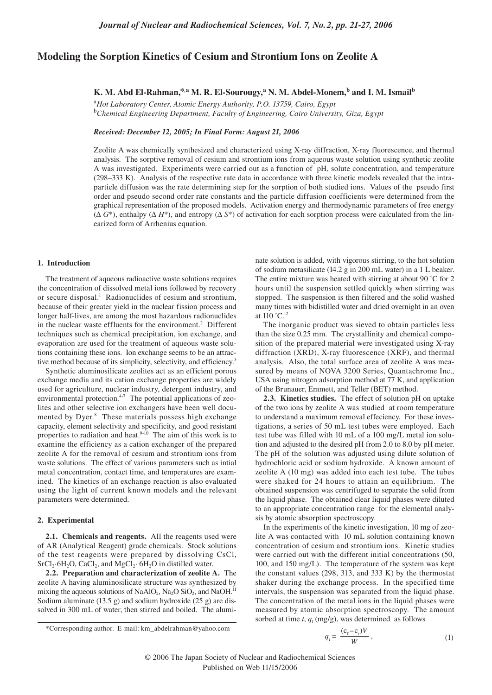# **Modeling the Sorption Kinetics of Cesium and Strontium Ions on Zeolite A**

# **K. M. Abd El-Rahman,\*,a M. R. El-Sourougy,<sup>a</sup> N. M. Abdel-Monem,b and I. M. Ismailb**

<sup>a</sup>*Hot Laboratory Center, Atomic Energy Authority, P.O. 13759, Cairo, Egypt* <sup>b</sup>*Chemical Engineering Department, Faculty of Engineering, Cairo University, Giza, Egypt*

*Received: December 12, 2005; In Final Form: August 21, 2006*

Zeolite A was chemically synthesized and characterized using X-ray diffraction, X-ray fluorescence, and thermal analysis. The sorptive removal of cesium and strontium ions from aqueous waste solution using synthetic zeolite A was investigated. Experiments were carried out as a function of pH, solute concentration, and temperature (298–333 K). Analysis of the respective rate data in accordance with three kinetic models revealed that the intraparticle diffusion was the rate determining step for the sorption of both studied ions. Values of the pseudo first order and pseudo second order rate constants and the particle diffusion coefficients were determined from the graphical representation of the proposed models. Activation energy and thermodynamic parameters of free energy (∆ *G*\*), enthalpy (∆ *H*\*), and entropy (∆ *S*\*) of activation for each sorption process were calculated from the linearized form of Arrhenius equation.

#### **1. Introduction**

The treatment of aqueous radioactive waste solutions requires the concentration of dissolved metal ions followed by recovery or secure disposal.<sup>1</sup> Radionuclides of cesium and strontium, because of their greater yield in the nuclear fission process and longer half-lives, are among the most hazardous radionuclides in the nuclear waste effluents for the environment.<sup>2</sup> Different techniques such as chemical precipitation, ion exchange, and evaporation are used for the treatment of aqueous waste solutions containing these ions. Ion exchange seems to be an attractive method because of its simplicity, selectivity, and efficiency.<sup>3</sup>

Synthetic aluminosilicate zeolites act as an efficient porous exchange media and its cation exchange properties are widely used for agriculture, nuclear industry, detergent industry, and environmental protection.<sup>4-7</sup> The potential applications of zeolites and other selective ion exchangers have been well documented by Dyer.<sup>8</sup> These materials possess high exchange capacity, element selectivity and specificity, and good resistant properties to radiation and heat. $9-10$  The aim of this work is to examine the efficiency as a cation exchanger of the prepared zeolite A for the removal of cesium and strontium ions from waste solutions. The effect of various parameters such as intial metal concentration, contact time, and temperatures are examined. The kinetics of an exchange reaction is also evaluated using the light of current known models and the relevant parameters were determined.

#### **2. Experimental**

**2.1. Chemicals and reagents.** All the reagents used were of AR (Analytical Reagent) grade chemicals. Stock solutions of the test reagents were prepared by dissolving CsCl,  $SrCl<sub>2</sub>·6H<sub>2</sub>O, CaCl<sub>2</sub>, and MgCl<sub>2</sub>·6H<sub>2</sub>O in distilled water.$ 

**2.2. Preparation and characterization of zeolite A.** The zeolite A having aluminosilicate structure was synthesized by mixing the aqueous solutions of NaAlO<sub>2</sub>, Na<sub>2</sub>O SiO<sub>2</sub>, and NaOH.<sup>11</sup> Sodium aluminate  $(13.5 \text{ g})$  and sodium hydroxide  $(25 \text{ g})$  are dissolved in 300 mL of water, then stirred and boiled. The aluminate solution is added, with vigorous stirring, to the hot solution of sodium metasilicate (14.2 g in 200 mL water) in a 1 L beaker. The entire mixture was heated with stirring at about 90 °C for 2 hours until the suspension settled quickly when stirring was stopped. The suspension is then filtered and the solid washed many times with bidistilled water and dried overnight in an oven at 110 ˚C.12

The inorganic product was sieved to obtain particles less than the size 0.25 mm. The crystallinity and chemical composition of the prepared material were investigated using X-ray diffraction (XRD), X-ray fluorescence (XRF), and thermal analysis. Also, the total surface area of zeolite A was measured by means of NOVA 3200 Series, Quantachrome Inc., USA using nitrogen adsorption method at 77 K, and application of the Brunauer, Emmett, and Teller (BET) method.

**2.3. Kinetics studies.** The effect of solution pH on uptake of the two ions by zeolite A was studied at room temperature to understand a maximum removal effeciency. For these investigations, a series of 50 mL test tubes were employed. Each test tube was filled with 10 mL of a 100 mg/L metal ion solution and adjusted to the desired pH from 2.0 to 8.0 by pH meter. The pH of the solution was adjusted using dilute solution of hydrochloric acid or sodium hydroxide. A known amount of zeolite A (10 mg) was added into each test tube. The tubes were shaked for 24 hours to attain an equilibrium. The obtained suspension was centrifuged to separate the solid from the liquid phase. The obtained clear liquid phases were diluted to an appropriate concentration range for the elemental analysis by atomic absorption spectroscopy.

In the experiments of the kinetic investigation, 10 mg of zeolite A was contacted with 10 mL solution containing known concentration of cesium and strontium ions. Kinetic studies were carried out with the different initial concentrations (50, 100, and 150 mg/L). The temperature of the system was kept the constant values (298, 313, and 333 K) by the thermostat shaker during the exchange process. In the specified time intervals, the suspension was separated from the liquid phase. The concentration of the metal ions in the liquid phases were measured by atomic absorption spectroscopy. The amount sorbed at time  $t$ ,  $q_t$  (mg/g), was determined as follows

$$
q_{t} = \frac{(c_0 - c_t)V}{W},\tag{1}
$$

<sup>\*</sup>Corresponding author. E-mail: km\_abdelrahman@yahoo.com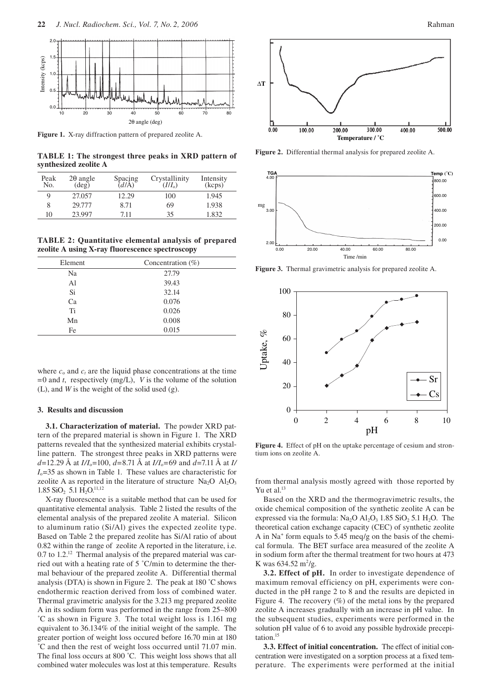

**Figure 1.** X-ray diffraction pattern of prepared zeolite A.

**TABLE 1: The strongest three peaks in XRD pattern of synthesized zeolite A**

| Peak<br>No. | $2\theta$ angle<br>(deg) | Spacing<br>$\frac{d}{A}$ | Crystallinity<br>$(II/\bar{I}_0)$ | Intensity<br>(kcps) |
|-------------|--------------------------|--------------------------|-----------------------------------|---------------------|
| 9           | 27.057                   | 12.29                    | 100                               | 1.945               |
| 8           | 29.777                   | 8.71                     | 69                                | 1.938               |
| 10          | 23.997                   | 7.11                     | 35                                | 1.832               |

**TABLE 2: Quantitative elemental analysis of prepared zeolite A using X-ray fluorescence spectroscopy**

| Concentration (%) |  |
|-------------------|--|
| 27.79             |  |
| 39.43             |  |
| 32.14             |  |
| 0.076             |  |
| 0.026             |  |
| 0.008             |  |
| 0.015             |  |
|                   |  |

where  $c_0$  and  $c_t$  are the liquid phase concentrations at the time =0 and *t*, respectively (mg/L), *V* is the volume of the solution (L), and *W* is the weight of the solid used (g).

## **3. Results and discussion**

**3.1. Characterization of material.** The powder XRD pattern of the prepared material is shown in Figure 1. The XRD patterns revealed that the synthesized material exhibits crystalline pattern. The strongest three peaks in XRD patterns were  $d=12.29$  Å at  $I/I_0=100$ ,  $d=8.71$  Å at  $I/I_0=69$  and  $d=7.11$  Å at *I/*  $I_0$ =35 as shown in Table 1. These values are characteristic for zeolite A as reported in the literature of structure  $Na<sub>2</sub>O Al<sub>2</sub>O<sub>3</sub>$  $1.85$  SiO<sub>2</sub> 5.1  $\hat{H_2O}$ <sup>11,12</sup>

X-ray fluorescence is a suitable method that can be used for quantitative elemental analysis. Table 2 listed the results of the elemental analysis of the prepared zeolite A material. Silicon to aluminum ratio (Si/Al) gives the expected zeolite type. Based on Table 2 the prepared zeolite has Si/Al ratio of about 0.82 within the range of zeolite A reported in the literature, i.e. 0.7 to 1.2.<sup>12</sup> Thermal analysis of the prepared material was carried out with a heating rate of 5 ˚C/min to determine the thermal behaviour of the prepared zeolite A. Differential thermal analysis (DTA) is shown in Figure 2. The peak at 180 ˚C shows endothermic reaction derived from loss of combined water. Thermal gravimetric analysis for the 3.213 mg prepared zeolite A in its sodium form was performed in the range from 25–800 ˚C as shown in Figure 3. The total weight loss is 1.161 mg equivalent to 36.134% of the initial weight of the sample. The greater portion of weight loss occured before 16.70 min at 180 ˚C and then the rest of weight loss occurred until 71.07 min. The final loss occurs at 800 ˚C. This weight loss shows that all combined water molecules was lost at this temperature. Results





**Figure 2.** Differential thermal analysis for prepared zeolite A.



**Figure 3.** Thermal gravimetric analysis for prepared zeolite A.



**Figure 4.** Effect of pH on the uptake percentage of cesium and strontium ions on zeolite A.

from thermal analysis mostly agreed with those reported by Yu et al.<sup>13</sup>

Based on the XRD and the thermogravimetric results, the oxide chemical composition of the synthetic zeolite A can be expressed via the formula:  $Na<sub>2</sub>O Al<sub>2</sub>O<sub>3</sub> 1.85 SiO<sub>2</sub> 5.1 H<sub>2</sub>O.$  The theoretical cation exchange capacity (CEC) of synthetic zeolite A in Na+ form equals to 5.45 meq/g on the basis of the chemical formula.The BET surface area measured of the zeolite A in sodium form after the thermal treatment for two hours at 473 K was  $634.52 \text{ m}^2/\text{g}$ .

**3.2. Effect of pH.** In order to investigate dependence of maximum removal efficiency on pH, experiments were conducted in the pH range 2 to 8 and the results are depicted in Figure 4. The recovery  $(\%)$  of the metal ions by the prepared zeolite A increases gradually with an increase in pH value. In the subsequent studies, experiments were performed in the solution pH value of 6 to avoid any possible hydroxide precepitation.15

**3.3. Effect of initial concentration.** The effect of initial concentration were investigated on a sorption process at a fixed temperature. The experiments were performed at the initial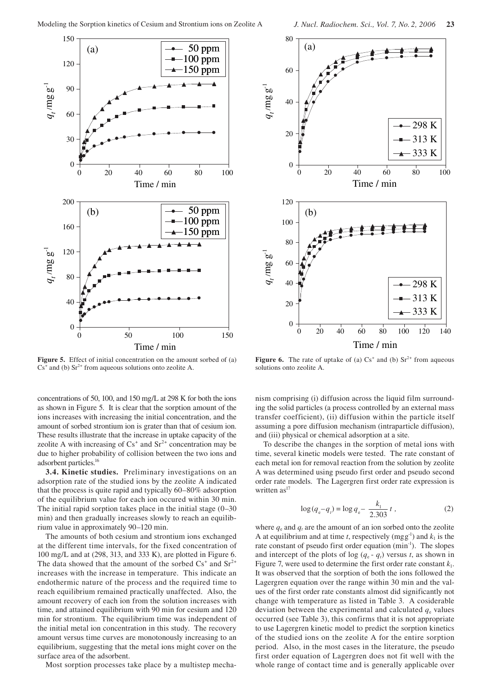

**Figure 5.** Effect of initial concentration on the amount sorbed of (a)  $Cs<sup>+</sup>$  and (b)  $Sr<sup>2+</sup>$  from aqueous solutions onto zeolite A.

concentrations of 50, 100, and 150 mg/L at 298 K for both the ions as shown in Figure 5. It is clear that the sorption amount of the ions increases with increasing the initial concentration, and the amount of sorbed strontium ion is grater than that of cesium ion. These results illustrate that the increase in uptake capacity of the zeolite A with increasing of  $Cs^+$  and  $Sr^{2+}$  concentration may be due to higher probability of collision between the two ions and adsorbent particles.<sup>16</sup>

**3.4. Kinetic studies.** Preliminary investigations on an adsorption rate of the studied ions by the zeolite A indicated that the process is quite rapid and typically 60–80% adsorption of the equilibrium value for each ion occured within 30 min. The initial rapid sorption takes place in the initial stage (0–30 min) and then gradually increases slowly to reach an equilibrium value in approximately 90–120 min.

The amounts of both cesium and strontium ions exchanged at the different time intervals, for the fixed concentration of 100 mg/L and at (298, 313, and 333 K), are plotted in Figure 6. The data showed that the amount of the sorbed  $Cs^+$  and  $Sr^{2+}$ increases with the increase in temperature. This indicate an endothermic nature of the process and the required time to reach equilibrium remained practically unaffected. Also, the amount recovery of each ion from the solution increases with time, and attained equilibrium with 90 min for cesium and 120 min for strontium. The equilibrium time was independent of the initial metal ion concentration in this study. The recovery amount versus time curves are monotonously increasing to an equilibrium, suggesting that the metal ions might cover on the surface area of the adsorbent.

Most sorption processes take place by a multistep mecha-



**Figure 6.** The rate of uptake of (a)  $Cs^+$  and (b)  $Sr^{2+}$  from aqueous solutions onto zeolite A.

nism comprising (i) diffusion across the liquid film surrounding the solid particles (a process controlled by an external mass transfer coefficient), (ii) diffusion within the particle itself assuming a pore diffusion mechanism (intraparticle diffusion), and (iii) physical or chemical adsorption at a site.

To describe the changes in the sorption of metal ions with time, several kinetic models were tested. The rate constant of each metal ion for removal reaction from the solution by zeolite A was determined using pseudo first order and pseudo second order rate models. The Lagergren first order rate expression is written as<sup>17</sup>

$$
\log(q_{\rm e} - q_{\rm r}) = \log q_{\rm e} - \frac{k_1}{2.303} t \tag{2}
$$

where  $q_e$  and  $q_t$  are the amount of an ion sorbed onto the zeolite A at equilibrium and at time *t*, respectively  $(mgg^{-1})$  and  $k_1$  is the rate constant of pseudo first order equation (min<sup>-1</sup>). The slopes and intercept of the plots of log  $(q_e - q_t)$  versus *t*, as shown in Figure 7, were used to determine the first order rate constant  $k_1$ . It was observed that the sorption of both the ions followed the Lagergren equation over the range within 30 min and the values of the first order rate constants almost did significantly not change with temperature as listed in Table 3. A cosiderable deviation between the experimental and calculated  $q_e$  values occurred (see Table 3), this confirms that it is not appropriate to use Lagergren kinetic model to predict the sorption kinetics of the studied ions on the zeolite A for the entire sorption period. Also, in the most cases in the literature, the pseudo first order equation of Lagergren does not fit well with the whole range of contact time and is generally applicable over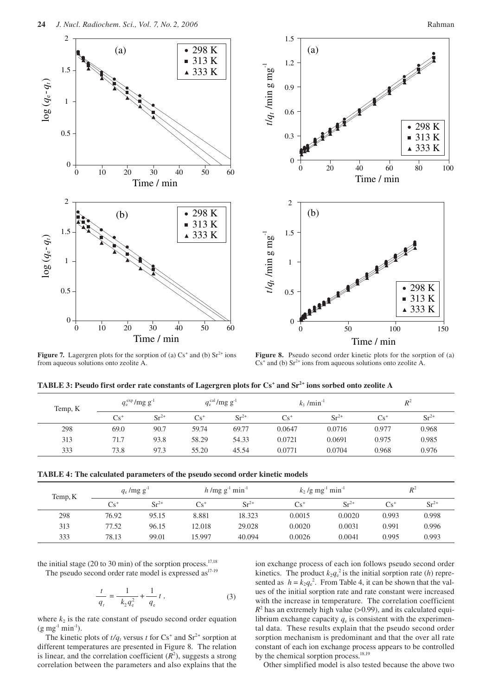

**Figure 7.** Lagergren plots for the sorption of (a)  $Cs^+$  and (b)  $Sr^{2+}$  ions from aqueous solutions onto zeolite A.

**Figure 8.** Pseudo second order kinetic plots for the sorption of (a)  $Cs<sup>+</sup>$  and (b)  $Sr<sup>2+</sup>$  ions from aqueous solutions onto zeolite A.

| TABLE 3: Pseudo first order rate constants of Lagergren plots for Cs <sup>+</sup> and Sr <sup>2+</sup> ions sorbed onto zeolite A |  |  |  |  |  |
|-----------------------------------------------------------------------------------------------------------------------------------|--|--|--|--|--|
|-----------------------------------------------------------------------------------------------------------------------------------|--|--|--|--|--|

| Temp, K | $q_{\rm e}^{\rm exp}/\text{mg g}^{-1}$ |           |        | $q_e^{\text{cal}}$ /mg g <sup>-1</sup> | $k_1/min^{-1}$ |           |        | $R^2$     |
|---------|----------------------------------------|-----------|--------|----------------------------------------|----------------|-----------|--------|-----------|
|         | $Cs^+$                                 | $Sr^{2+}$ | $Cs^+$ | $Sr^{2+}$                              | $Cs^+$         | $Sr^{2+}$ | $Cs^+$ | $Sr^{2+}$ |
| 298     | 69.0                                   | 90.7      | 59.74  | 69.77                                  | 0.0647         | 0.0716    | 0.977  | 0.968     |
| 313     | 71.7                                   | 93.8      | 58.29  | 54.33                                  | 0.0721         | 0.0691    | 0.975  | 0.985     |
| 333     | 73.8                                   | 97.3      | 55.20  | 45.54                                  | 0.0771         | 0.0704    | 0.968  | 0.976     |

| <b>TABLE 4: The calculated parameters of the pseudo second order kinetic models</b> |  |  |  |
|-------------------------------------------------------------------------------------|--|--|--|
|-------------------------------------------------------------------------------------|--|--|--|

| Temp, K |        | $q_e$ /mg g <sup>-1</sup> |        | $h/mg g^{-1}$ min <sup>-1</sup> |        | $k_2$ /g mg <sup>-1</sup> min <sup>-1</sup> |       | $R^2$     |  |
|---------|--------|---------------------------|--------|---------------------------------|--------|---------------------------------------------|-------|-----------|--|
|         | $Cs^+$ | $Sr^{2+}$                 | $Cs^+$ | $Sr^{2+}$                       | $Cs^+$ | $Sr^{2+}$                                   | Cs'   | $Sr^{2+}$ |  |
| 298     | 76.92  | 95.15                     | 8.881  | 18.323                          | 0.0015 | 0.0020                                      | 0.993 | 0.998     |  |
| 313     | 77.52  | 96.15                     | 12.018 | 29.028                          | 0.0020 | 0.0031                                      | 0.991 | 0.996     |  |
| 333     | 78.13  | 99.01                     | 15.997 | 40.094                          | 0.0026 | 0.0041                                      | 0.995 | 0.993     |  |

the initial stage (20 to 30 min) of the sorption process. $17,18$ The pseudo second order rate model is expressed as<sup>17-19</sup>

$$
\frac{t}{q_t} = \frac{1}{k_2 q_e^2} + \frac{1}{q_e} t , \qquad (3)
$$

where  $k_2$  is the rate constant of pseudo second order equation  $(g \text{ mg}^{-1} \text{ min}^{-1}).$ 

The kinetic plots of  $t/q_t$  versus t for  $Cs^+$  and  $Sr^{2+}$  sorption at different temperatures are presented in Figure 8. The relation is linear, and the correlation coefficient  $(R^2)$ , suggests a strong correlation between the parameters and also explains that the

ion exchange process of each ion follows pseudo second order kinetics. The product  $k_2q_e^2$  is the initial sorption rate (*h*) represented as  $h = k_2 q_e^2$ . From Table 4, it can be shown that the values of the initial sorption rate and rate constant were increased with the increase in temperature. The correlation coefficient  $R<sup>2</sup>$  has an extremely high value (>0.99), and its calculated equilibrium exchange capacity  $q_e$  is consistent with the experimental data. These results explain that the pseudo second order sorption mechanism is predominant and that the over all rate constant of each ion exchange process appears to be controlled by the chemical sorption process. $^{18,19}$ 

Other simplified model is also tested because the above two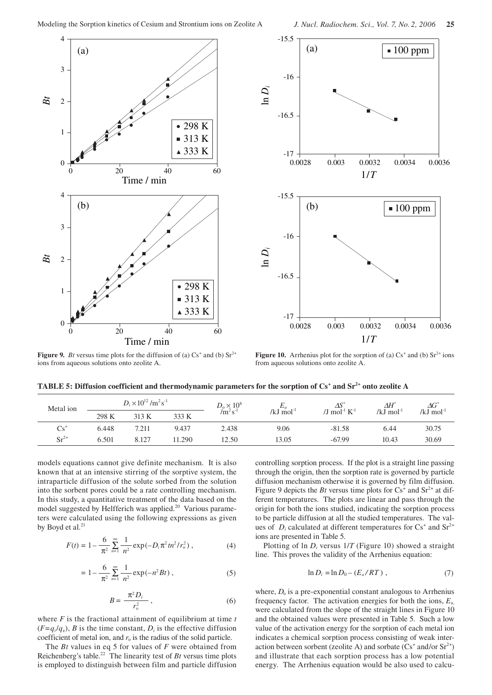



**Figure 9.** *Bt* versus time plots for the diffusion of (a)  $Cs^+$  and (b)  $Sr^{2+}$ ions from aqueous solutions onto zeolite A.

**Figure 10.** Arrhenius plot for the sorption of (a)  $Cs^+$  and (b)  $Sr^{2+}$  ions from aqueous solutions onto zeolite A.

| TABLE 5: Diffusion coefficient and thermodynamic parameters for the sorption of $Cs^+$ and $Sr^{2+}$ onto zeolite A |  |  |
|---------------------------------------------------------------------------------------------------------------------|--|--|
|                                                                                                                     |  |  |

| Metal ion | $D_i \times 10^{12}$ /m <sup>2</sup> s <sup>-1</sup> |       | $D_{\rm o} \times 10^8$ | $-a$     |                          | $\Delta H^*$                           | $\varDelta G^*$ |                 |
|-----------|------------------------------------------------------|-------|-------------------------|----------|--------------------------|----------------------------------------|-----------------|-----------------|
|           | 298 K                                                | 313 K | 333 K                   | $/m^2 s$ | / $kJ$ mol <sup>-1</sup> | /J mol <sup>-1</sup> $K$ <sup>-1</sup> | /kJ $mol^{-1}$  | /kJ mol $^{-1}$ |
| $Cs^+$    | 6.448                                                | 7.211 | 9.437                   | 2.438    | 9.06                     | $-81.58$                               | 6.44            | 30.75           |
| $Sr^{2+}$ | 6.501                                                | 8.127 | 1.290                   | 12.50    | 13.05                    | $-67.99$                               | 10.43           | 30.69           |

models equations cannot give definite mechanism. It is also known that at an intensive stirring of the sorptive system, the intraparticle diffusion of the solute sorbed from the solution into the sorbent pores could be a rate controlling mechanism. In this study, a quantitative treatment of the data based on the model suggested by Helfferich was applied.<sup>20</sup> Various parameters were calculated using the following expressions as given by Boyd et al.<sup>21</sup>

$$
F(t) = 1 - \frac{6}{\pi^2} \sum_{n=1}^{\infty} \frac{1}{n^2} \exp(-D_i \pi^2 t n^2 / r_o^2) , \qquad (4)
$$

$$
= 1 - \frac{6}{\pi^2} \sum_{n=1}^{\infty} \frac{1}{n^2} \exp(-n^2 B t) , \qquad (5)
$$

$$
B = \frac{\pi^2 D_i}{r_o^2},\tag{6}
$$

where *F* is the fractional attainment of equilibrium at time *t*  $(F=q_i/q_e)$ , *B* is the time constant, *D<sub>i</sub>* is the effective diffusion coefficient of metal ion, and  $r<sub>o</sub>$  is the radius of the solid particle.

The *Bt* values in eq 5 for values of *F* were obtained from Reichenberg's table.<sup>22</sup> The linearity test of  $Bt$  versus time plots is employed to distinguish between film and particle diffusion

controlling sorption process. If the plot is a straight line passing through the origin, then the sorption rate is governed by particle diffusion mechanism otherwise it is governed by film diffusion. Figure 9 depicts the *Bt* versus time plots for  $Cs^+$  and  $Sr^{2+}$  at different temperatures. The plots are linear and pass through the origin for both the ions studied, indicating the sorption process to be particle diffusion at all the studied temperatures. The values of  $D_i$  calculated at different temperatures for  $Cs^+$  and  $Sr^{2+}$ ions are presented in Table 5.

Plotting of ln *Di* versus 1/*T* (Figure 10) showed a straight line. This proves the validity of the Arrhenius equation:

$$
\ln D_i = \ln D_0 - (E_a/RT) , \qquad (7)
$$

where,  $D_0$  is a pre-exponential constant analogous to Arrhenius frequency factor. The activation energies for both the ions, *E*a, were calculated from the slope of the straight lines in Figure 10 and the obtained values were presented in Table 5. Such a low value of the activation energy for the sorption of each metal ion indicates a chemical sorption process consisting of weak interaction between sorbent (zeolite A) and sorbate  $(Cs^+$  and/or  $Sr^{2+})$ and illustrate that each sorption process has a low potential energy. The Arrhenius equation would be also used to calcu-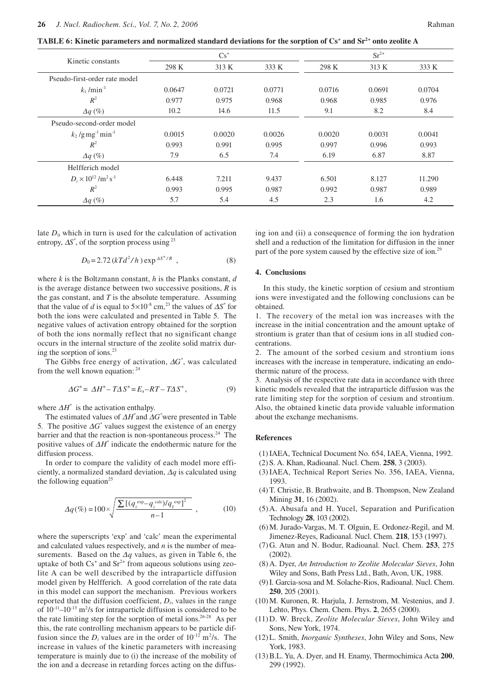**TABLE 6: Kinetic parameters and normalized standard deviations for the sorption of Cs+ and Sr2+ onto zeolite A**

|                                                      | $Cs^+$ |        |        | $Sr^{2+}$ |        |        |  |
|------------------------------------------------------|--------|--------|--------|-----------|--------|--------|--|
| Kinetic constants                                    | 298 K  | 313 K  | 333 K  | 298 K     | 313 K  | 333 K  |  |
| Pseudo-first-order rate model                        |        |        |        |           |        |        |  |
| $k_1$ /min <sup>-1</sup>                             | 0.0647 | 0.0721 | 0.0771 | 0.0716    | 0.0691 | 0.0704 |  |
| $R^2$                                                | 0.977  | 0.975  | 0.968  | 0.968     | 0.985  | 0.976  |  |
| $\Delta q$ (%)                                       | 10.2   | 14.6   | 11.5   | 9.1       | 8.2    | 8.4    |  |
| Pseudo-second-order model                            |        |        |        |           |        |        |  |
| $k_2$ /g mg <sup>-1</sup> min <sup>-1</sup>          | 0.0015 | 0.0020 | 0.0026 | 0.0020    | 0.0031 | 0.0041 |  |
| $R^2$                                                | 0.993  | 0.991  | 0.995  | 0.997     | 0.996  | 0.993  |  |
| $\Delta q$ (%)                                       | 7.9    | 6.5    | 7.4    | 6.19      | 6.87   | 8.87   |  |
| Helfferich model                                     |        |        |        |           |        |        |  |
| $D_i \times 10^{12}$ /m <sup>2</sup> s <sup>-1</sup> | 6.448  | 7.211  | 9.437  | 6.501     | 8.127  | 11.290 |  |
| $R^2$                                                | 0.993  | 0.995  | 0.987  | 0.992     | 0.987  | 0.989  |  |
| $\Delta q$ (%)                                       | 5.7    | 5.4    | 4.5    | 2.3       | 1.6    | 4.2    |  |

late  $D_0$  which in turn is used for the calculation of activation entropy, ∆*S\** , of the sorption process using 23

$$
D_0 = 2.72 \left( kT d^2 / h \right) \exp^{4S^* / R} \tag{8}
$$

where *k* is the Boltzmann constant, *h* is the Planks constant, *d* is the average distance between two successive positions, *R* is the gas constant, and *T* is the absolute temperature. Assuming that the value of *d* is equal to  $5 \times 10^{-8}$  cm,<sup>23</sup> the values of  $\Delta S^*$  for both the ions were calculated and presented in Table 5. The negative values of activation entropy obtained for the sorption of both the ions normally reflect that no significant change occurs in the internal structure of the zeolite solid matrix during the sorption of ions. $^{23}$ 

The Gibbs free energy of activation, ∆*G\** , was calculated from the well known equation:  $2^4$ 

$$
\Delta G^* = \Delta H^* - T\Delta S^* = E_a - RT - T\Delta S^*,\tag{9}
$$

where ∆*H\** is the activation enthalpy.

The estimated values of ∆*H\** and ∆*G\** were presented in Table 5. The positive  $\Delta G^*$  values suggest the existence of an energy barrier and that the reaction is non-spontaneous process.<sup>24</sup> The positive values of ∆*H\** indicate the endothermic nature for the diffusion process.

In order to compare the validity of each model more efficiently, a normalized standard deviation, ∆*q* is calculated using the following equation<sup>25</sup>

$$
\Delta q(\%) = 100 \times \sqrt{\frac{\sum \left[ (q_t^{\exp} - q_t^{\text{calc}}) / q_t^{\text{exp}} \right]^2}{n - 1}} \tag{10}
$$

where the superscripts 'exp' and 'calc' mean the experimental and calculated values respectively, and *n* is the number of measurements. Based on the ∆*q* values, as given in Table 6, the uptake of both  $Cs^+$  and  $Sr^{2+}$  from aqueous solutions using zeolite A can be well described by the intraparticle diffusion model given by Helfferich. A good correlation of the rate data in this model can support the mechanism. Previous workers reported that the diffusion coefficient, *Di*, values in the range of  $10^{-11}$ – $10^{-13}$  m<sup>2</sup>/s for intraparticle diffusion is considered to be the rate limiting step for the sorption of metal ions.<sup>26-28</sup> As per this, the rate controlling mechanism appears to be particle diffusion since the  $D_i$  values are in the order of  $10^{-12}$  m<sup>2</sup>/s. The increase in values of the kinetic parameters with increasing temperature is mainly due to (i) the increase of the mobility of the ion and a decrease in retarding forces acting on the diffusing ion and (ii) a consequence of forming the ion hydration shell and a reduction of the limitation for diffusion in the inner part of the pore system caused by the effective size of ion.<sup>29</sup>

### **4. Conclusions**

In this study, the kinetic sorption of cesium and strontium ions were investigated and the following conclusions can be obtained.

1. The recovery of the metal ion was increases with the increase in the initial concentration and the amount uptake of strontium is grater than that of cesium ions in all studied concentrations.

2. The amount of the sorbed cesium and strontium ions increases with the increase in temperature, indicating an endothermic nature of the process.

3. Analysis of the respective rate data in accordance with three kinetic models revealed that the intraparticle diffusion was the rate limiting step for the sorption of cesium and strontium. Also, the obtained kinetic data provide valuable information about the exchange mechanisms.

### **References**

- (1) IAEA, Technical Document No. 654, IAEA, Vienna, 1992.
- (2) S. A. Khan, Radioanal. Nucl. Chem. **258**, 3 (2003).
- (3) IAEA, Technical Report Series No. 356, IAEA, Vienna, 1993.
- (4) T. Christie, B. Brathwaite, and B. Thompson, New Zealand Mining **31**, 16 (2002).
- (5) A. Abusafa and H. Yucel, Separation and Purification Technology **28**, 103 (2002).
- (6) M. Jurado-Vargas, M. T. Olguin, E. Ordonez-Regil, and M. Jimenez-Reyes, Radioanal. Nucl. Chem. **218**, 153 (1997).
- (7) G. Atun and N. Bodur, Radioanal. Nucl. Chem. **253**, 275 (2002).
- (8) A. Dyer, *An Introduction to Zeolite Molecular Sieves*, John Wiley and Sons, Bath Press Ltd., Bath, Avon, UK, 1988.
- (9) I. Garcia-sosa and M. Solache-Rios, Radioanal. Nucl. Chem. **250**, 205 (2001).
- (10) M. Kuronen, R. Harjula, J. Jernstrom, M. Vestenius, and J. Lehto, Phys. Chem. Chem. Phys. **2**, 2655 (2000).
- (11) D. W. Breck, *Zeolite Molecular Sieves*, John Wiley and Sons, New York, 1974.
- (12) L. Smith, *Inorganic Syntheses*, John Wiley and Sons, New York, 1983.
- (13) B.L. Yu, A. Dyer, and H. Enamy, Thermochimica Acta **200**, 299 (1992).